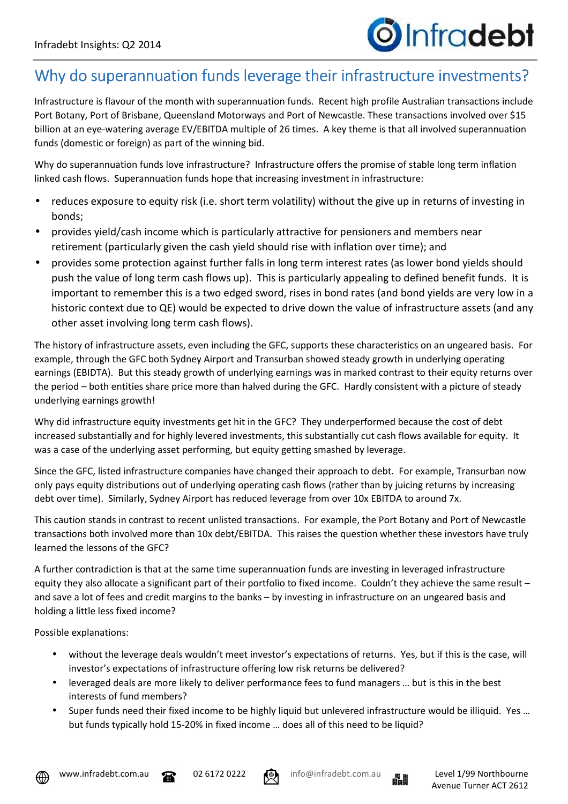## Why do superannuation funds leverage their infrastructure investments?

Infrastructure is flavour of the month with superannuation funds. Recent high profile Australian transactions include Port Botany, Port of Brisbane, Queensland Motorways and Port of Newcastle. These transactions involved over \$15 billion at an eye-watering average EV/EBITDA multiple of 26 times. A key theme is that all involved superannuation funds (domestic or foreign) as part of the winning bid.

Why do superannuation funds love infrastructure? Infrastructure offers the promise of stable long term inflation linked cash flows. Superannuation funds hope that increasing investment in infrastructure:

- reduces exposure to equity risk (i.e. short term volatility) without the give up in returns of investing in bonds;
- provides yield/cash income which is particularly attractive for pensioners and members near retirement (particularly given the cash yield should rise with inflation over time); and
- provides some protection against further falls in long term interest rates (as lower bond yields should push the value of long term cash flows up). This is particularly appealing to defined benefit funds. It is important to remember this is a two edged sword, rises in bond rates (and bond yields are very low in a historic context due to QE) would be expected to drive down the value of infrastructure assets (and any other asset involving long term cash flows).

The history of infrastructure assets, even including the GFC, supports these characteristics on an ungeared basis. For example, through the GFC both Sydney Airport and Transurban showed steady growth in underlying operating earnings (EBIDTA). But this steady growth of underlying earnings was in marked contrast to their equity returns over the period – both entities share price more than halved during the GFC. Hardly consistent with a picture of steady underlying earnings growth!

Why did infrastructure equity investments get hit in the GFC? They underperformed because the cost of debt increased substantially and for highly levered investments, this substantially cut cash flows available for equity. It was a case of the underlying asset performing, but equity getting smashed by leverage.

Since the GFC, listed infrastructure companies have changed their approach to debt. For example, Transurban now only pays equity distributions out of underlying operating cash flows (rather than by juicing returns by increasing debt over time). Similarly, Sydney Airport has reduced leverage from over 10x EBITDA to around 7x.

This caution stands in contrast to recent unlisted transactions. For example, the Port Botany and Port of Newcastle transactions both involved more than 10x debt/EBITDA. This raises the question whether these investors have truly learned the lessons of the GFC?

A further contradiction is that at the same time superannuation funds are investing in leveraged infrastructure equity they also allocate a significant part of their portfolio to fixed income. Couldn't they achieve the same result – and save a lot of fees and credit margins to the banks – by investing in infrastructure on an ungeared basis and holding a little less fixed income?

Possible explanations:

- without the leverage deals wouldn't meet investor's expectations of returns. Yes, but if this is the case, will investor's expectations of infrastructure offering low risk returns be delivered?
- leveraged deals are more likely to deliver performance fees to fund managers … but is this in the best interests of fund members?
- Super funds need their fixed income to be highly liquid but unlevered infrastructure would be illiquid. Yes … but funds typically hold 15-20% in fixed income … does all of this need to be liquid?